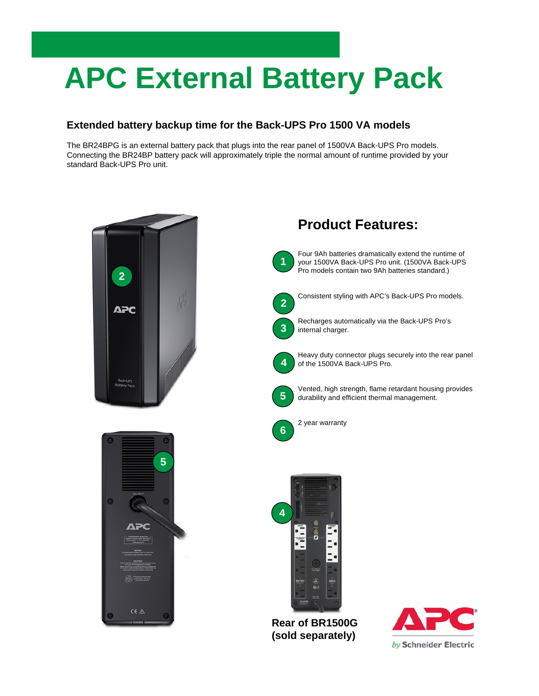# **APC External Battery Pack**

## **Extended battery backup time for the Back-UPS Pro 1500 VA models**

The BR24BPG is an external battery pack that plugs into the rear panel of 1500VA Back-UPS Pro models. Connecting the BR24BP battery pack will approximately triple the normal amount of runtime provided by your standard Back-UPS Pro unit.